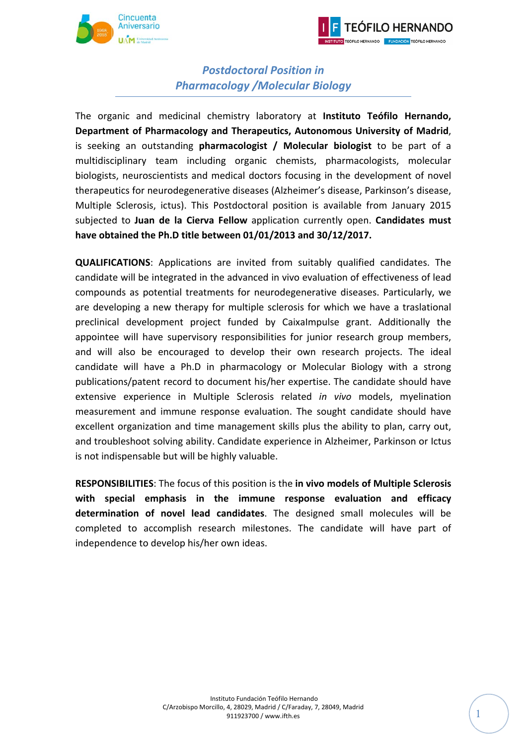



## *Postdoctoral Position in Pharmacology /Molecular Biology*

The organic and medicinal chemistry laboratory at **Instituto Teófilo Hernando, Department of Pharmacology and Therapeutics, Autonomous University of Madrid**, is seeking an outstanding **pharmacologist / Molecular biologist** to be part of a multidisciplinary team including organic chemists, pharmacologists, molecular biologists, neuroscientists and medical doctors focusing in the development of novel therapeutics for neurodegenerative diseases (Alzheimer's disease, Parkinson's disease, Multiple Sclerosis, ictus). This Postdoctoral position is available from January 2015 subjected to **Juan de la Cierva Fellow** application currently open. **Candidates must have obtained the Ph.D title between 01/01/2013 and 30/12/2017.**

**QUALIFICATIONS**: Applications are invited from suitably qualified candidates. The candidate will be integrated in the advanced in vivo evaluation of effectiveness of lead compounds as potential treatments for neurodegenerative diseases. Particularly, we are developing a new therapy for multiple sclerosis for which we have a traslational preclinical development project funded by CaixaImpulse grant. Additionally the appointee will have supervisory responsibilities for junior research group members, and will also be encouraged to develop their own research projects. The ideal candidate will have a Ph.D in pharmacology or Molecular Biology with a strong publications/patent record to document his/her expertise. The candidate should have extensive experience in Multiple Sclerosis related *in vivo* models, myelination measurement and immune response evaluation. The sought candidate should have excellent organization and time management skills plus the ability to plan, carry out, and troubleshoot solving ability. Candidate experience in Alzheimer, Parkinson or Ictus is not indispensable but will be highly valuable.

**RESPONSIBILITIES**: The focus of this position is the **in vivo models of Multiple Sclerosis with special emphasis in the immune response evaluation and efficacy determination of novel lead candidates**. The designed small molecules will be completed to accomplish research milestones. The candidate will have part of independence to develop his/her own ideas.